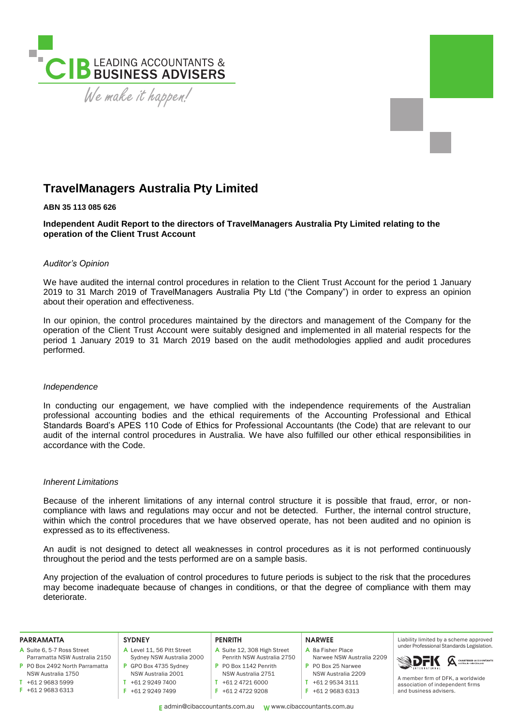

# **TravelManagers Australia Pty Limited**

## **ABN 35 113 085 626**

**Independent Audit Report to the directors of TravelManagers Australia Pty Limited relating to the operation of the Client Trust Account**

## *Auditor's Opinion*

We have audited the internal control procedures in relation to the Client Trust Account for the period 1 January 2019 to 31 March 2019 of TravelManagers Australia Pty Ltd ("the Company") in order to express an opinion about their operation and effectiveness.

In our opinion, the control procedures maintained by the directors and management of the Company for the operation of the Client Trust Account were suitably designed and implemented in all material respects for the period 1 January 2019 to 31 March 2019 based on the audit methodologies applied and audit procedures performed.

#### *Independence*

In conducting our engagement, we have complied with the independence requirements of the Australian professional accounting bodies and the ethical requirements of the Accounting Professional and Ethical Standards Board's APES 110 Code of Ethics for Professional Accountants (the Code) that are relevant to our audit of the internal control procedures in Australia. We have also fulfilled our other ethical responsibilities in accordance with the Code.

# *Inherent Limitations*

Because of the inherent limitations of any internal control structure it is possible that fraud, error, or noncompliance with laws and regulations may occur and not be detected. Further, the internal control structure, within which the control procedures that we have observed operate, has not been audited and no opinion is expressed as to its effectiveness.

An audit is not designed to detect all weaknesses in control procedures as it is not performed continuously throughout the period and the tests performed are on a sample basis.

Any projection of the evaluation of control procedures to future periods is subject to the risk that the procedures may become inadequate because of changes in conditions, or that the degree of compliance with them may deteriorate.

| <b>PARRAMATTA</b>              | <b>SYDNEY</b>              | <b>PENRITH</b>              | <b>NARWEE</b>             | Liability limited by a scheme approved    |
|--------------------------------|----------------------------|-----------------------------|---------------------------|-------------------------------------------|
| A Suite 6, 5-7 Ross Street     | A Level 11, 56 Pitt Street | A Suite 12, 308 High Street | A 8a Fisher Place         | under Professional Standards Legislation. |
| Parramatta NSW Australia 2150  | Sydney NSW Australia 2000  | Penrith NSW Australia 2750  | Narwee NSW Australia 2209 | <b>SDFK A CHARTERD ACCOUNTANTS</b>        |
| P PO Box 2492 North Parramatta | GPO Box 4735 Sydney        | P PO Box 1142 Penrith       | P PO Box 25 Narwee        |                                           |
| NSW Australia 1750             | NSW Australia 2001         | NSW Australia 2751          | NSW Australia 2209        | A member firm of DFK, a worldwide         |
| +61 2 9683 5999                | +61 2 9249 7400            | +61 2 4721 6000             | +61 2 9534 3111           | association of independent firms          |
| $F + 61296836313$              | +61 2 9249 7499            | $F + 61247229208$           | +61 2 9683 6313           | and business advisers.                    |